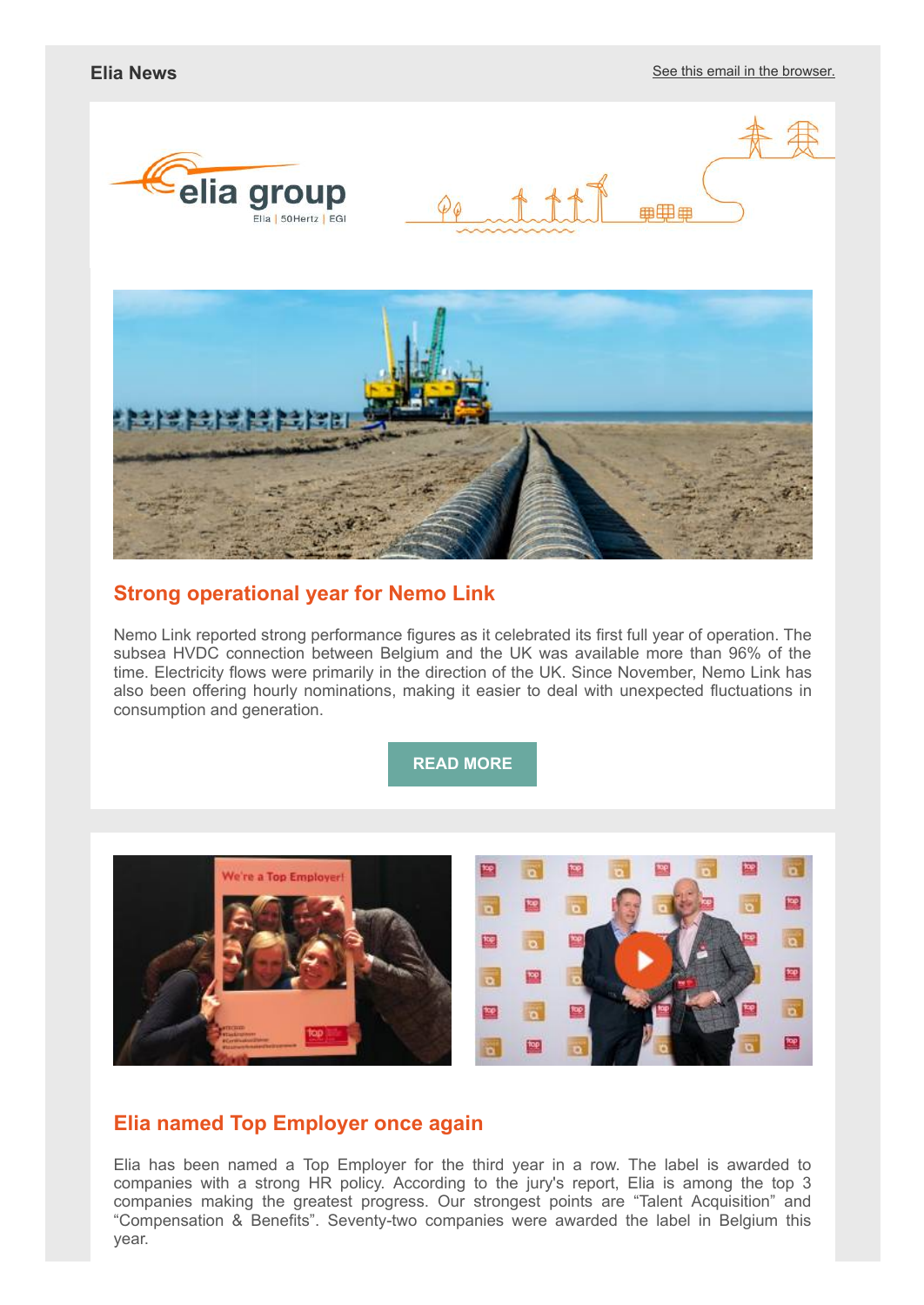





# **Strong operational year for Nemo Link**

Nemo Link reported strong performance figures as it celebrated its first full year of operation. The subsea HVDC connection between Belgium and the UK was available more than 96% of the time. Electricity flows were primarily in the direction of the UK. Since November, Nemo Link has also been offering hourly nominations, making it easier to deal with unexpected fluctuations in consumption and generation.

**[READ MORE](http://link.newsletters.elia.be/mm/LC_7309_935831_BDGC86MAVDBW_41311_KpAlsqHwO4tipmPl0TMaorgY5p7U4lK8VYh1CNeeTWdTWyb5nnnrZSY60hRAtYzqI2saDua9B2wKe9R9y+HqnK8RO+9OHVeA+HEy9LxSHjJ90J4zEEHCPQ6TfImDD3Bon92Q3Ezzn5QGwVVC8VrPvA==.act)**



## **Elia named Top Employer once again**

Elia has been named a Top Employer for the third year in a row. The label is awarded to companies with a strong HR policy. According to the jury's report, Elia is among the top 3 companies making the greatest progress. Our strongest points are "Talent Acquisition" and "Compensation & Benefits". Seventy-two companies were awarded the label in Belgium this year.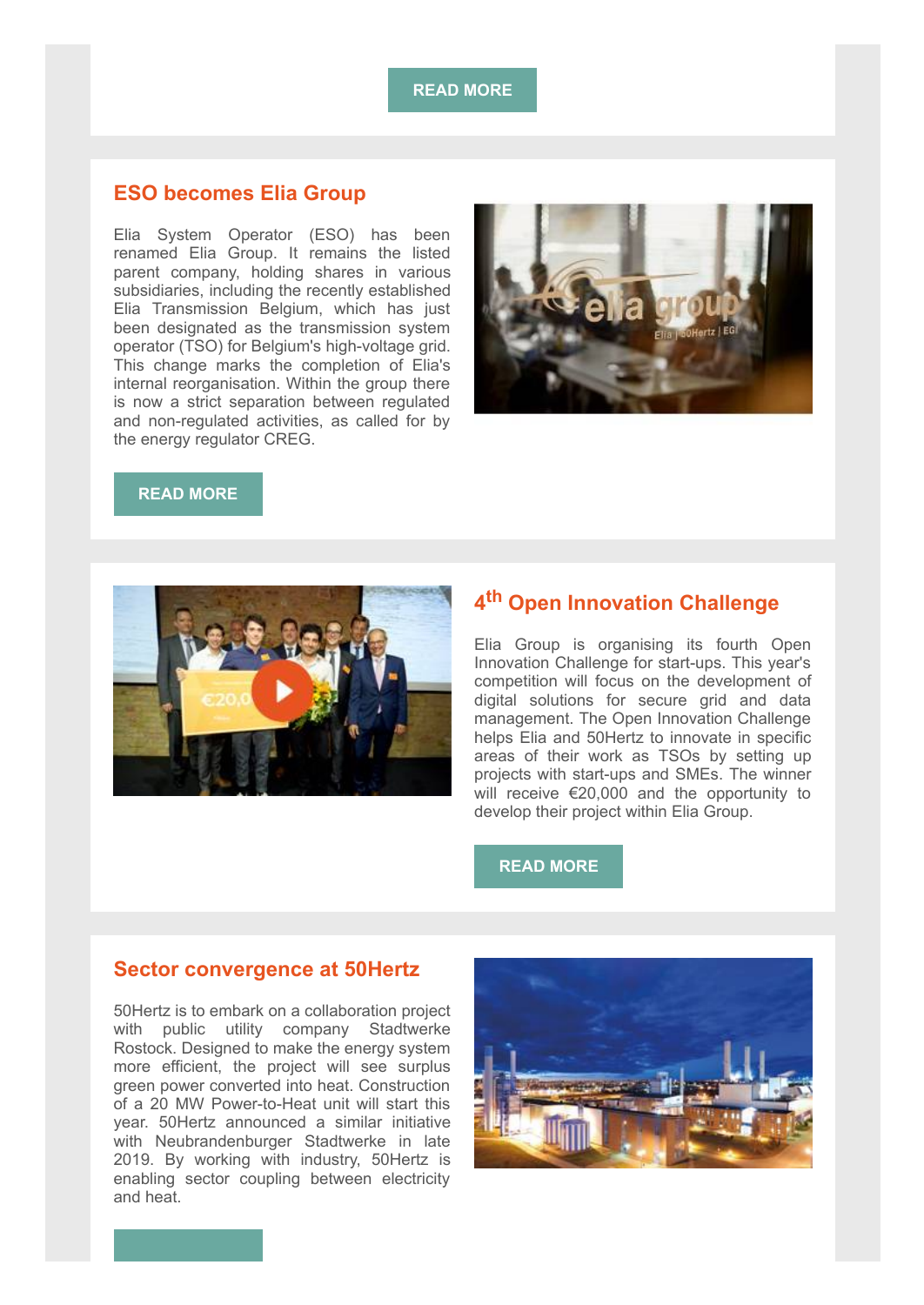**[READ MORE](http://link.newsletters.elia.be/mm/LC_7309_935831_BDGC86MAVDBW_41313_N9r6gurGohweKH7vimIqqRyccSj9erFoZzyYJ1NWvS+Kj-x5txOYxwCj8Ahli3sf8fn3y+MXgv25GwO7Sd5NYBkgTS8cHQWxdAhqGp4aeiyEcYRn-uJA0gD0s4mbL5d0MJHSE27-f4yNsQYGLQmYvQ==.act)**

### **ESO becomes Elia Group**

Elia System Operator (ESO) has been renamed Elia Group. It remains the listed parent company, holding shares in various subsidiaries, including the recently established Elia Transmission Belgium, which has just been designated as the transmission system operator (TSO) for Belgium's high-voltage grid. This change marks the completion of Elia's internal reorganisation. Within the group there is now a strict separation between regulated and non-regulated activities, as called for by the energy regulator CREG.



## **[READ MORE](http://link.newsletters.elia.be/mm/LC_7309_935831_BDGC86MAVDBW_41314_dtTPMhWDV+ZQhgo9deGcU3fn4yZY4dTRj-lKZ8CZwIYUq7gSqA2JcVCcrfSDIe1bcYsN5Kuo6ZgG52kQNgKGavgQwMYNW7Qqe0aRNxyJ9jg3zOhsKXTdmhjE68iGYSc+3aL+ciXbq0OSU9DaxaD6ew==.act)**



# **4 th Open Innovation Challenge**

Elia Group is organising its fourth Open Innovation Challenge for start-ups. This year's competition will focus on the development of digital solutions for secure grid and data management. The Open Innovation Challenge helps Elia and 50Hertz to innovate in specific areas of their work as TSOs by setting up projects with start-ups and SMEs. The winner will receive €20,000 and the opportunity to develop their project within Elia Group.

#### **[READ MORE](http://link.newsletters.elia.be/mm/LC_7309_935831_BDGC86MAVDBW_41315_9cG7z2EGLeMbm5sOl19Gl1yxspwYSXS3OUJl6hpufWUu8BKx8E8o8iXkNFDcErggkwWlYxRJ2detTDCZYo94GaKRG0m9iEWRJYCOHTFyGT1WHfuvGOhgSisbwoWLMJY47zONvm8ZLh4hn1hqm6ehxgzPEQUXwur8KRuIiLDaOy0=.act)**

#### **Sector convergence at 50Hertz**

50Hertz is to embark on a collaboration project with public utility company Stadtwerke Rostock. Designed to make the energy system more efficient, the project will see surplus green power converted into heat. Construction of a 20 MW Power-to-Heat unit will start this year. 50Hertz announced a similar initiative with Neubrandenburger Stadtwerke in late 2019. By working with industry, 50Hertz is enabling sector coupling between electricity and heat.

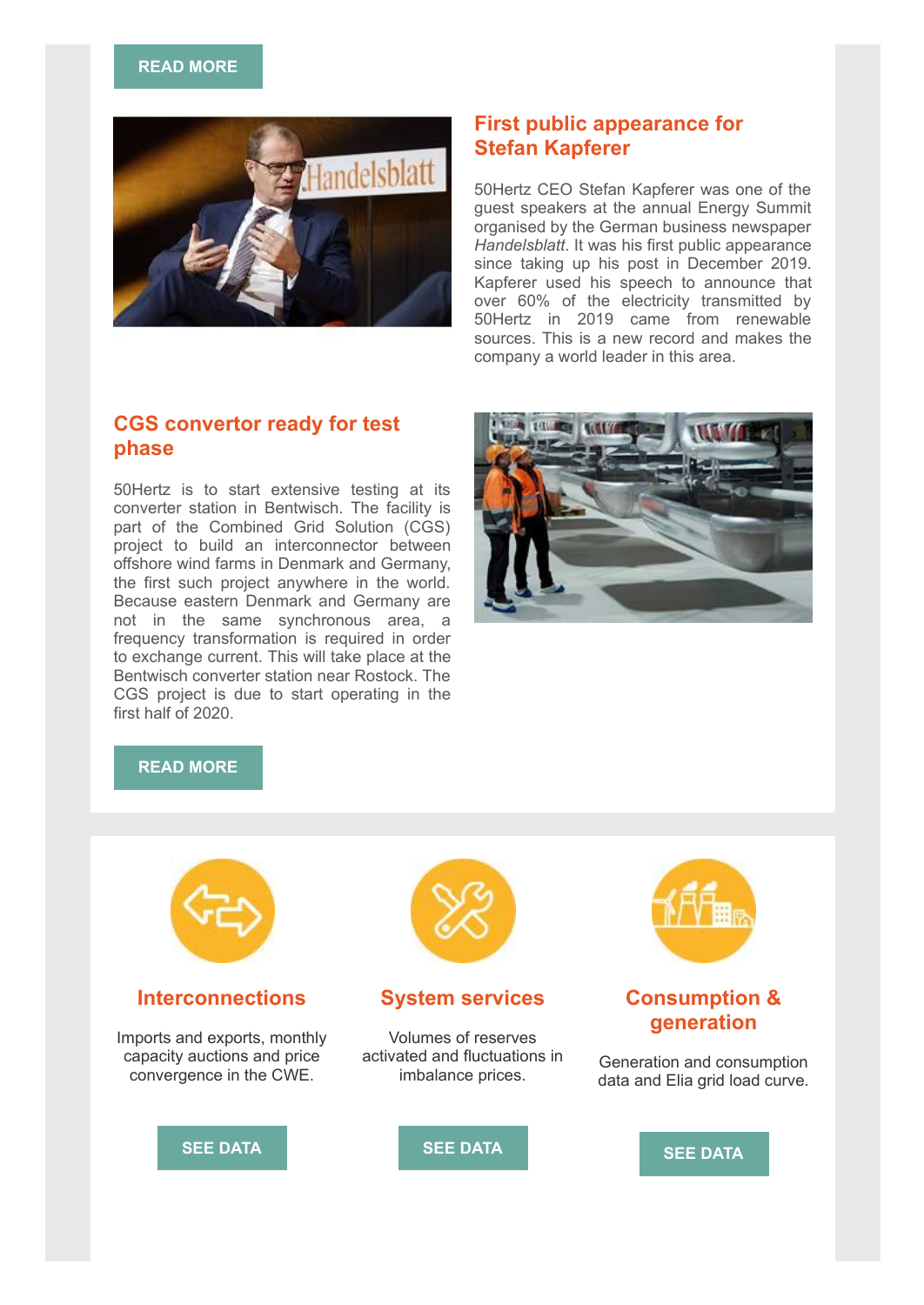#### **[READ MORE](http://link.newsletters.elia.be/mm/LC_7309_935831_BDGC86MAVDBW_41317_qySHw3RFOyN19Rrgk9O28j1NGILL3culw5ECYhAOmCQOSmaTXb0h+Zi4tXIJDOqbqul+ve1cFYMyIP3kD-ll9Uf6itHQBf1o+AdUkbEcebW9ae8ee-XViVqCmFzta7YlJDF-rGz11TYjGSo6oHEyVq2mCsYIUnCdz75McS96EHc=.act)**



## **First public appearance for Stefan Kapferer**

50Hertz CEO Stefan Kapferer was one of the guest speakers at the annual Energy Summit organised by the German business newspaper *Handelsblatt*. It was his first public appearance since taking up his post in December 2019. Kapferer used his speech to announce that over 60% of the electricity transmitted by 50Hertz in 2019 came from renewable sources. This is a new record and makes the company a world leader in this area.

## **CGS convertor ready for test phase**

50Hertz is to start extensive testing at its converter station in Bentwisch. The facility is part of the Combined Grid Solution (CGS) project to build an interconnector between offshore wind farms in Denmark and Germany, the first such project anywhere in the world. Because eastern Denmark and Germany are not in the same synchronous area, a frequency transformation is required in order to exchange current. This will take place at the Bentwisch converter station near Rostock. The CGS project is due to start operating in the first half of 2020.



#### **[READ MORE](http://link.newsletters.elia.be/mm/LC_7309_935831_BDGC86MAVDBW_41318_ZPs0xk7UFLl40XhafIHVN8bfFMxRvCZpGTC0Kft7IxTYiuNIp3SqRjQ+aFi2fZSkXJMyskHYCjdf8tNd5VB7KU8-0rcZCZqm5eHlKtElzdIEYDCvdPE-KKcJsa0RZPaCgtA8bg8q+b50jNwNUq23mqfYqMzwmyYLkgcWz-gEoVcLxtRNG9asVDYBZcIWzcUMKRZyspL+BYql-uinZum3-g==.act)**